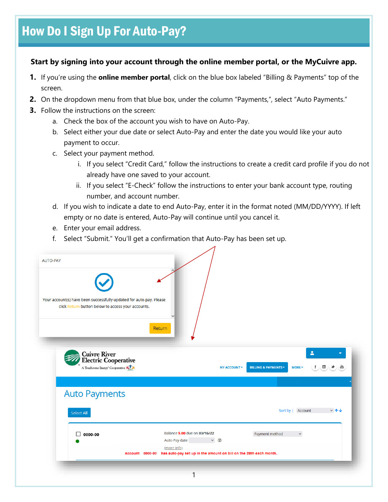## **Start by signing into your account through the online member portal, or the MyCuivre app.**

- **1.** If you're using the **online member portal**, click on the blue box labeled "Billing & Payments" top of the screen.
- **2.** On the dropdown menu from that blue box, under the column "Payments,", select "Auto Payments."
- **3.** Follow the instructions on the screen:
	- a. Check the box of the account you wish to have on Auto-Pay.
	- b. Select either your due date or select Auto-Pay and enter the date you would like your auto payment to occur.
	- c. Select your payment method.
		- i. If you select "Credit Card," follow the instructions to create a credit card profile if you do not already have one saved to your account.
		- ii. If you select "E-Check" follow the instructions to enter your bank account type, routing number, and account number.
	- d. If you wish to indicate a date to end Auto-Pay, enter it in the format noted (MM/DD/YYYY). If left empty or no date is entered, Auto-Pay will continue until you cancel it.
	- e. Enter your email address.
	- f. Select "Submit." You'll get a confirmation that Auto-Pay has been set up.

|            | <b>Cuivre River</b><br><b>Electric Cooperative</b>                   |                        |                              |                                           |                     |                                                                                     |                   |                                                                                          |
|------------|----------------------------------------------------------------------|------------------------|------------------------------|-------------------------------------------|---------------------|-------------------------------------------------------------------------------------|-------------------|------------------------------------------------------------------------------------------|
|            | A Touchstone Energy <sup>®</sup> Cooperative<br><b>Auto Payments</b> |                        |                              |                                           | <b>MY ACCOUNT *</b> | <b>BILLING &amp; PAYMENTS *</b>                                                     | <b>MORE</b>       | $\blacktriangle$<br>$\blacktriangledown$<br>f<br>$(\textbf{m})(\blacktriangleright)$ (m) |
| Select All |                                                                      |                        |                              |                                           |                     |                                                                                     | Sort by   Account | $-\Delta$                                                                                |
| 0000-00    |                                                                      | <b>Account 0000-00</b> | Auto-Pay date<br>(more info) | Balance \$.00 due on 03/16/22<br>$\vee$ 0 |                     | Payment method<br>has auto-pay set up in the amount on bill on the 28th each month. | $\check{~}$       |                                                                                          |